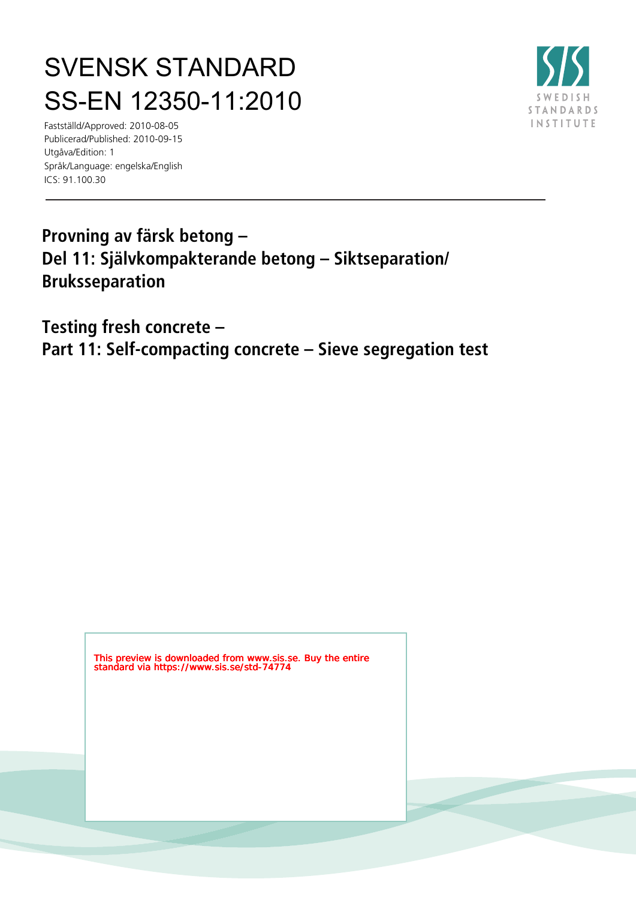# SVENSK STANDARD SS-EN 12350-11:2010

Fastställd/Approved: 2010-08-05 Publicerad/Published: 2010-09-15 Utgåva/Edition: 1 Språk/Language: engelska/English ICS: 91.100.30



## **Provning av färsk betong – Del 11: Självkompakterande betong – Siktseparation/ Bruksseparation**

**Testing fresh concrete – Part 11: Self-compacting concrete – Sieve segregation test**

> This preview is downloaded from www.sis.se. Buy the entire standard via https://www.sis.se/std-74774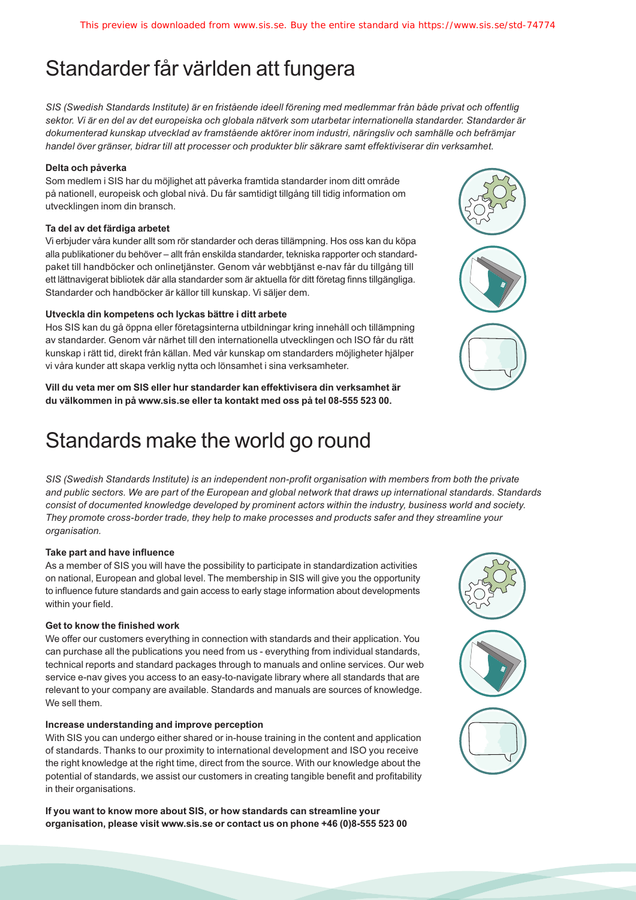# Standarder får världen att fungera

*SIS (Swedish Standards Institute) är en fristående ideell förening med medlemmar från både privat och offentlig sektor. Vi är en del av det europeiska och globala nätverk som utarbetar internationella standarder. Standarder är dokumenterad kunskap utvecklad av framstående aktörer inom industri, näringsliv och samhälle och befrämjar handel över gränser, bidrar till att processer och produkter blir säkrare samt effektiviserar din verksamhet.* 

#### **Delta och påverka**

Som medlem i SIS har du möjlighet att påverka framtida standarder inom ditt område på nationell, europeisk och global nivå. Du får samtidigt tillgång till tidig information om utvecklingen inom din bransch.

#### **Ta del av det färdiga arbetet**

Vi erbjuder våra kunder allt som rör standarder och deras tillämpning. Hos oss kan du köpa alla publikationer du behöver – allt från enskilda standarder, tekniska rapporter och standardpaket till handböcker och onlinetjänster. Genom vår webbtjänst e-nav får du tillgång till ett lättnavigerat bibliotek där alla standarder som är aktuella för ditt företag finns tillgängliga. Standarder och handböcker är källor till kunskap. Vi säljer dem.

#### **Utveckla din kompetens och lyckas bättre i ditt arbete**

Hos SIS kan du gå öppna eller företagsinterna utbildningar kring innehåll och tillämpning av standarder. Genom vår närhet till den internationella utvecklingen och ISO får du rätt kunskap i rätt tid, direkt från källan. Med vår kunskap om standarders möjligheter hjälper vi våra kunder att skapa verklig nytta och lönsamhet i sina verksamheter.

**Vill du veta mer om SIS eller hur standarder kan effektivisera din verksamhet är du välkommen in på www.sis.se eller ta kontakt med oss på tel 08-555 523 00.**

# Standards make the world go round

*SIS (Swedish Standards Institute) is an independent non-profit organisation with members from both the private and public sectors. We are part of the European and global network that draws up international standards. Standards consist of documented knowledge developed by prominent actors within the industry, business world and society. They promote cross-border trade, they help to make processes and products safer and they streamline your organisation.*

#### **Take part and have influence**

As a member of SIS you will have the possibility to participate in standardization activities on national, European and global level. The membership in SIS will give you the opportunity to influence future standards and gain access to early stage information about developments within your field.

#### **Get to know the finished work**

We offer our customers everything in connection with standards and their application. You can purchase all the publications you need from us - everything from individual standards, technical reports and standard packages through to manuals and online services. Our web service e-nav gives you access to an easy-to-navigate library where all standards that are relevant to your company are available. Standards and manuals are sources of knowledge. We sell them.

#### **Increase understanding and improve perception**

With SIS you can undergo either shared or in-house training in the content and application of standards. Thanks to our proximity to international development and ISO you receive the right knowledge at the right time, direct from the source. With our knowledge about the potential of standards, we assist our customers in creating tangible benefit and profitability in their organisations.

**If you want to know more about SIS, or how standards can streamline your organisation, please visit www.sis.se or contact us on phone +46 (0)8-555 523 00**



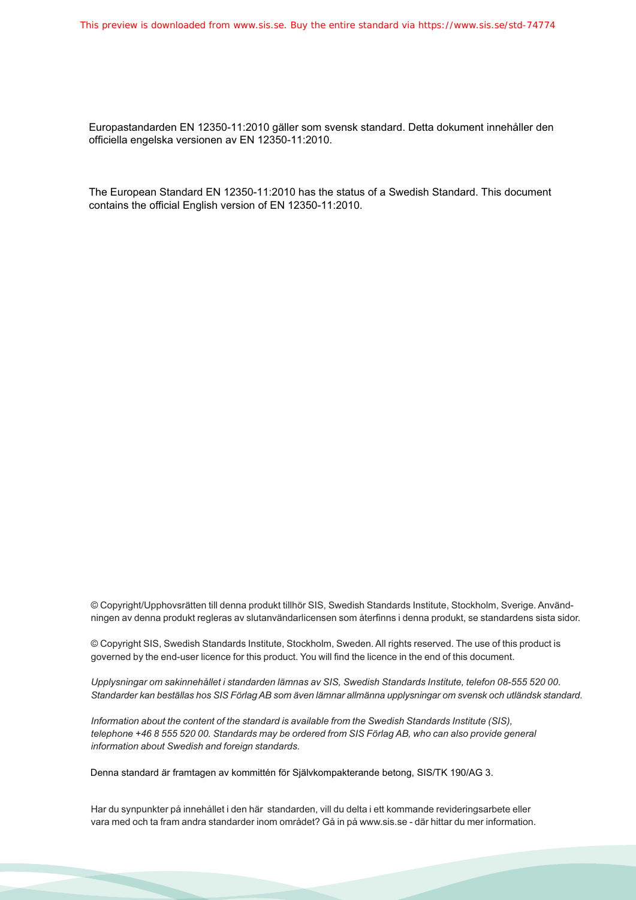Europastandarden EN 12350-11:2010 gäller som svensk standard. Detta dokument innehåller den officiella engelska versionen av EN 12350-11:2010.

The European Standard EN 12350-11:2010 has the status of a Swedish Standard. This document contains the official English version of EN 12350-11:2010.

© Copyright/Upphovsrätten till denna produkt tillhör SIS, Swedish Standards Institute, Stockholm, Sverige. Användningen av denna produkt regleras av slutanvändarlicensen som återfinns i denna produkt, se standardens sista sidor.

© Copyright SIS, Swedish Standards Institute, Stockholm, Sweden. All rights reserved. The use of this product is governed by the end-user licence for this product. You will find the licence in the end of this document.

*Upplysningar om sakinnehållet i standarden lämnas av SIS, Swedish Standards Institute, telefon 08-555 520 00. Standarder kan beställas hos SIS FörlagAB som även lämnar allmänna upplysningar om svensk och utländsk standard.*

*Information about the content of the standard is available from the Swedish Standards Institute (SIS), telephone +46 8 555 520 00. Standards may be ordered from SIS Förlag AB, who can also provide general information about Swedish and foreign standards.*

Denna standard är framtagen av kommittén för Självkompakterande betong, SIS/TK 190/AG 3.

Har du synpunkter på innehållet i den här standarden, vill du delta i ett kommande revideringsarbete eller vara med och ta fram andra standarder inom området? Gå in på www.sis.se - där hittar du mer information.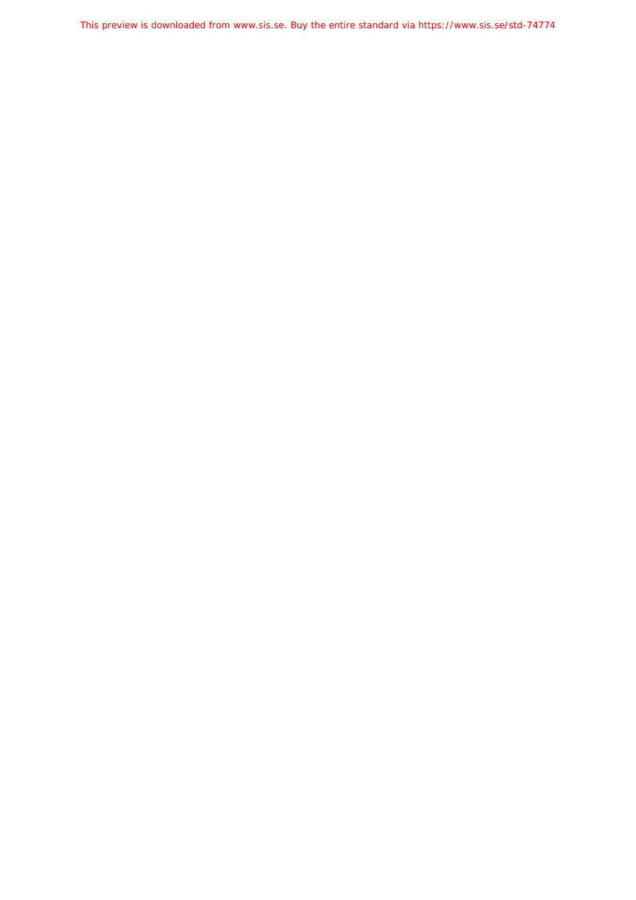This preview is downloaded from www.sis.se. Buy the entire standard via https://www.sis.se/std-74774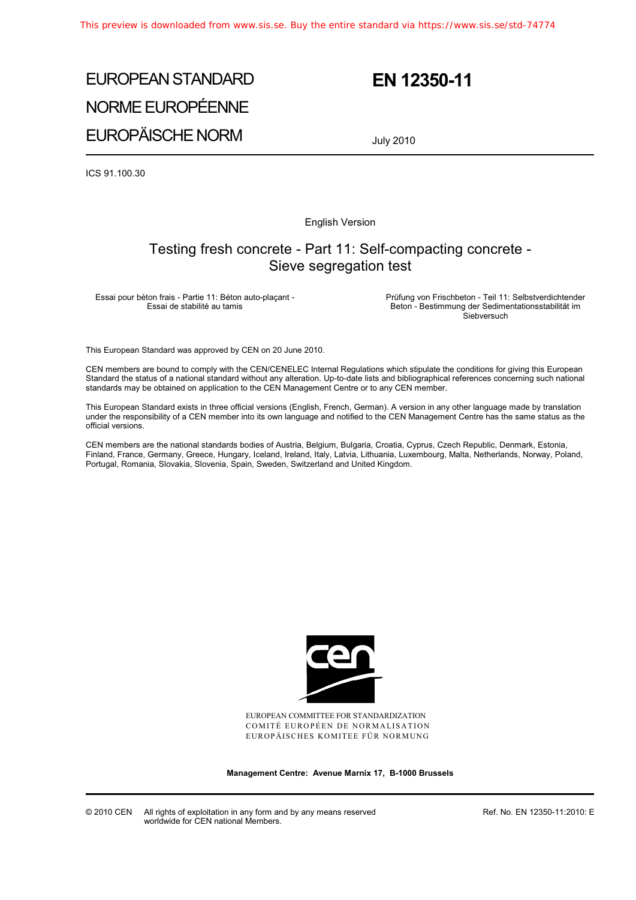# EUROPEANSTANDARD NORMEEUROPÉENNE EUROPÄISCHE NORM

### **EN 12350-11**

July 2010

ICS 91.100.30

English Version

### Testing fresh concrete - Part 11: Self-compacting concrete - Sieve segregation test

Essai pour béton frais - Partie 11: Béton auto-plaçant - Essai de stabilité au tamis

Prüfung von Frischbeton - Teil 11: Selbstverdichtender Beton - Bestimmung der Sedimentationsstabilität im **Siebversuch** 

This European Standard was approved by CEN on 20 June 2010.

CEN members are bound to comply with the CEN/CENELEC Internal Regulations which stipulate the conditions for giving this European Standard the status of a national standard without any alteration. Up-to-date lists and bibliographical references concerning such national standards may be obtained on application to the CEN Management Centre or to any CEN member.

This European Standard exists in three official versions (English, French, German). A version in any other language made by translation under the responsibility of a CEN member into its own language and notified to the CEN Management Centre has the same status as the official versions.

CEN members are the national standards bodies of Austria, Belgium, Bulgaria, Croatia, Cyprus, Czech Republic, Denmark, Estonia, Finland, France, Germany, Greece, Hungary, Iceland, Ireland, Italy, Latvia, Lithuania, Luxembourg, Malta, Netherlands, Norway, Poland, Portugal, Romania, Slovakia, Slovenia, Spain, Sweden, Switzerland and United Kingdom.



EUROPEAN COMMITTEE FOR STANDARDIZATION COMITÉ EUROPÉEN DE NORMALISATION EUROPÄISCHES KOMITEE FÜR NORMUNG

**Management Centre: Avenue Marnix 17, B-1000 Brussels**

© 2010 CEN All rights of exploitation in any form and by any means reserved worldwide for CEN national Members.

Ref. No. EN 12350-11:2010: E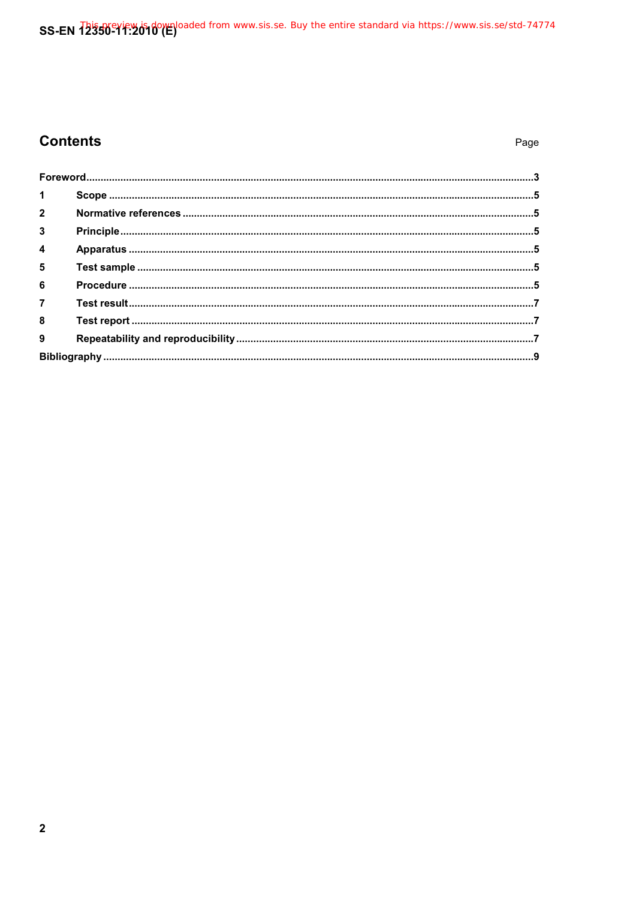SS-EN 12350-14:2010 (E) caded from www.sis.se. Buy the entire standard via https://www.sis.se/std-74774

### **Contents**

### Page

| 1 <sup>1</sup>          |  |  |
|-------------------------|--|--|
| $\overline{2}$          |  |  |
| $\overline{\mathbf{3}}$ |  |  |
| $\overline{\mathbf{4}}$ |  |  |
| $5^{\circ}$             |  |  |
| $6\phantom{a}$          |  |  |
| $\overline{7}$          |  |  |
| $\bf{8}$                |  |  |
| $\mathbf{9}$            |  |  |
|                         |  |  |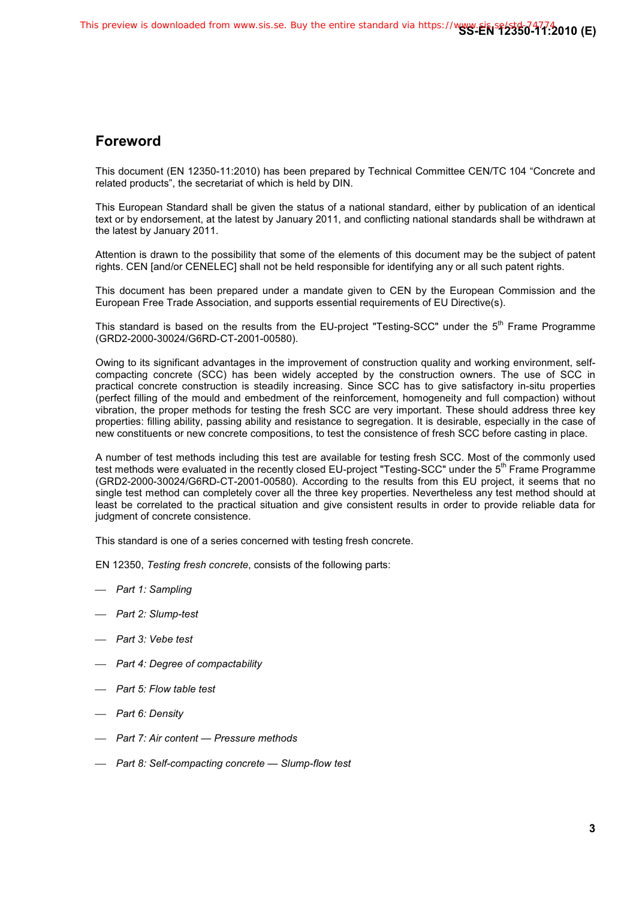**EN 12350-11:2010 (E)**

### **Foreword**

This document (EN 12350-11:2010) has been prepared by Technical Committee CEN/TC 104 "Concrete and related products", the secretariat of which is held by DIN.

This European Standard shall be given the status of a national standard, either by publication of an identical text or by endorsement, at the latest by January 2011, and conflicting national standards shall be withdrawn at the latest by January 2011.

Attention is drawn to the possibility that some of the elements of this document may be the subject of patent rights. CEN [and/or CENELEC] shall not be held responsible for identifying any or all such patent rights.

This document has been prepared under a mandate given to CEN by the European Commission and the European Free Trade Association, and supports essential requirements of EU Directive(s).

This standard is based on the results from the EU-project "Testing-SCC" under the 5<sup>th</sup> Frame Programme (GRD2-2000-30024/G6RD-CT-2001-00580).

Owing to its significant advantages in the improvement of construction quality and working environment, selfcompacting concrete (SCC) has been widely accepted by the construction owners. The use of SCC in practical concrete construction is steadily increasing. Since SCC has to give satisfactory in-situ properties (perfect filling of the mould and embedment of the reinforcement, homogeneity and full compaction) without vibration, the proper methods for testing the fresh SCC are very important. These should address three key properties: filling ability, passing ability and resistance to segregation. It is desirable, especially in the case of new constituents or new concrete compositions, to test the consistence of fresh SCC before casting in place.

A number of test methods including this test are available for testing fresh SCC. Most of the commonly used test methods were evaluated in the recently closed EU-project "Testing-SCC" under the 5<sup>th</sup> Frame Programme (GRD2-2000-30024/G6RD-CT-2001-00580). According to the results from this EU project, it seems that no single test method can completely cover all the three key properties. Nevertheless any test method should at least be correlated to the practical situation and give consistent results in order to provide reliable data for judgment of concrete consistence.

This standard is one of a series concerned with testing fresh concrete.

EN 12350, *Testing fresh concrete*, consists of the following parts:

- *Part 1: Sampling*
- *Part 2: Slump-test*
- *Part 3: Vebe test*
- *Part 4: Degree of compactability*
- *Part 5: Flow table test*
- *Part 6: Density*
- *Part 7: Air content — Pressure methods*
- *Part 8: Self-compacting concrete — Slump-flow test*